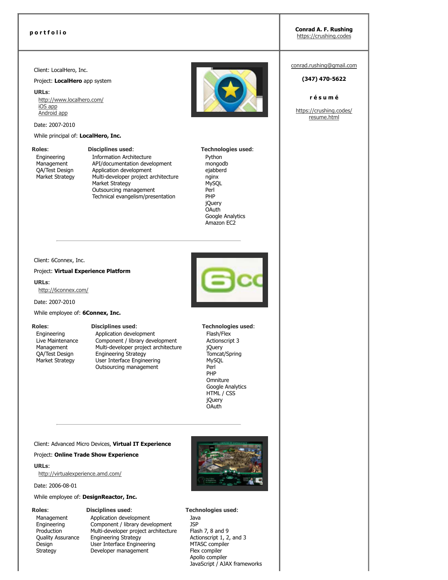**p o r t f o l i o Conrad A. F. Rushing**

https://crushing.codes

Client: LocalHero, Inc.

Project: **LocalHero** app system

**URLs**:

http://www.localhero.com/ iOS app Android app

Date: 2007-2010

#### While principal of: **LocalHero, Inc.**

**Roles**:

Engineering Management QA/Test Design Market Strategy **Disciplines used**: Information Architecture API/documentation development Application development Multi-developer project architecture Market Strategy Outsourcing management Technical evangelism/presentation

**Technologies used**: Python mongodb ejabberd nginx **MySQL** Perl PHP jQuery OAuth Google Analytics Amazon EC2

Client: 6Connex, Inc.

#### Project: **Virtual Experience Platform**

**URLs**: http://6connex.com/

Date: 2007-2010

#### While employee of: **6Connex, Inc.**

#### **Roles**:

Engineering Live Maintenance Management QA/Test Design Market Strategy

**Disciplines used**:

Application development Component / library development Multi-developer project architecture Engineering Strategy User Interface Engineering Outsourcing management



**Technologies used**: Flash/Flex Actionscript 3 jQuery Tomcat/Spring MySQL Perl PHP **Omniture** Google Analytics HTML / CSS jQuery **OAuth** 

Client: Advanced Micro Devices, **Virtual IT Experience**

#### Project: **Online Trade Show Experience**

**URLs**:

http://virtualexperience.amd.com/

Date: 2006-08-01

While employee of: **DesignReactor, Inc.**

#### **Roles**:

Management Engineering Production Quality Assurance **Design Strategy** 

**Disciplines used**: Application development Component / library development Multi-developer project architecture Engineering Strategy User Interface Engineering Developer management



**Technologies used**: Java JSP Flash 7, 8 and 9 Actionscript 1, 2, and 3 MTASC compiler Flex compiler Apollo compiler JavaScript / AJAX frameworks conrad.rushing@gmail.com

#### **(347) 4705622**

#### **r é s u m é**

https://crushing.codes/ resume.html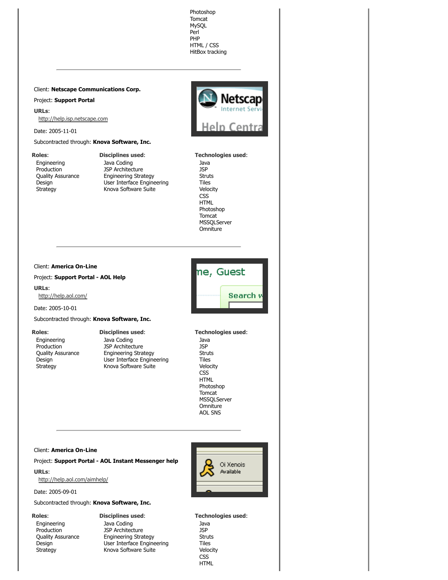**URLs**: http://help.isp.netscape.com Date: 2005-11-01 Subcontracted through: **Knova Software, Inc. Roles**: **Disciplines used**: Engineering Java Coding **Production** JSP Architecture Quality Assurance Engineering Strategy User Interface Engineering Design **Strategy** Knova Software Suite **Client: America On-Line** ne, Guest Project: Support Portal - AOL Help **URLs**: http://help.aol.com/ Date: 2005-10-01 Subcontracted through: **Knova Software, Inc. Roles**: **Disciplines used**: **Technologies used**: Engineering Java Coding Production JSP Architecture

> Engineering Strategy User Interface Engineering Knova Software Suite

Client: **Netscape Communications Corp.**

Project: **Support Portal**

# Heln Centra

Photoshop Tomcat MySQL Perl PHP HTML / CSS HitBox tracking

> **Technologies used**: Java JSP Struts Tiles Velocity CSS HTML Photoshop Tomcat **MSSQLServer** Omniture

Java JSP Struts Tiles Velocity CSS HTML Photoshop Tomcat MSSQLServer **Omniture** AOL SNS

#### **Client: America On-Line**

Quality Assurance

Design Strategy

#### Project: Support Portal - AOL Instant Messenger help

**URLs**: http://help.aol.com/aimhelp/

Date: 2005-09-01

Subcontracted through: **Knova Software, Inc.**

#### **Roles**:

Engineering **Production** Quality Assurance Design Strategy

**Disciplines used**: Java Coding JSP Architecture Engineering Strategy User Interface Engineering Knova Software Suite

Oi Xenois Available

**Technologies used**: Java JSP Struts Tiles Velocity **CSS** HTML

## Search w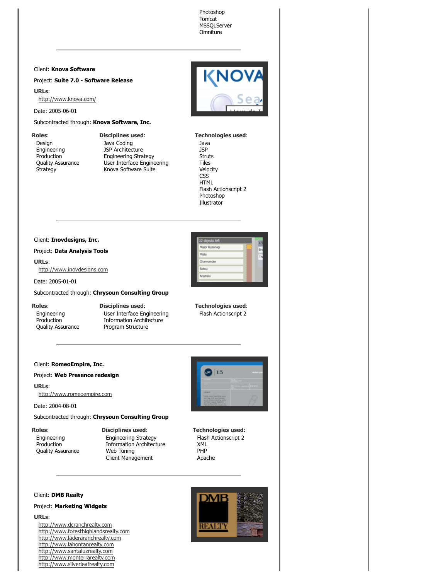Photoshop Tomcat MSSQLServer **Omniture** 

#### Client: **Knova Software**

Project: Suite 7.0 - Software Release

**URLs**:

http://www.knova.com/

Date: 2005-06-01

Subcontracted through: **Knova Software, Inc.**

#### **Roles**:

Design Engineering **Production** Quality Assurance Strategy

**Disciplines used**: Java Coding JSP Architecture Engineering Strategy User Interface Engineering Knova Software Suite

**Technologies used**:

Java JSP Struts Tiles Velocity **CSS** HTML Flash Actionscript 2 Photoshop Illustrator

#### Client: **Inovdesigns, Inc.**

Project: **Data Analysis Tools**

#### **URLs**:

http://www.inovdesigns.com

Date: 2005-01-01

#### Subcontracted through: **Chrysoun Consulting Group**

**Roles**:

Engineering Production Quality Assurance

**Disciplines used**: User Interface Engineering Information Architecture Program Structure

**Technologies used**: Flash Actionscript 2

#### Client: **RomeoEmpire, Inc.**

Project: **Web Presence redesign**

**URLs**: http://www.romeoempire.com

Date: 2004-08-01

Subcontracted through: **Chrysoun Consulting Group**

#### **Roles**:

Engineering Production Quality Assurance **Disciplines used**: Engineering Strategy Information Architecture Web Tuning Client Management



**Technologies used**: Flash Actionscript 2 XML PHP Apache

Client: **DMB Realty**

#### Project: **Marketing Widgets**

**URLs**:

http://www.dcranchrealty.com http://www.foresthighlandsrealty.com http://www.laderaranchrealty.com http://www.lahontanrealty.com http://www.santaluzrealty.com http://www.monterrarealty.com http://www.silverleafrealty.com

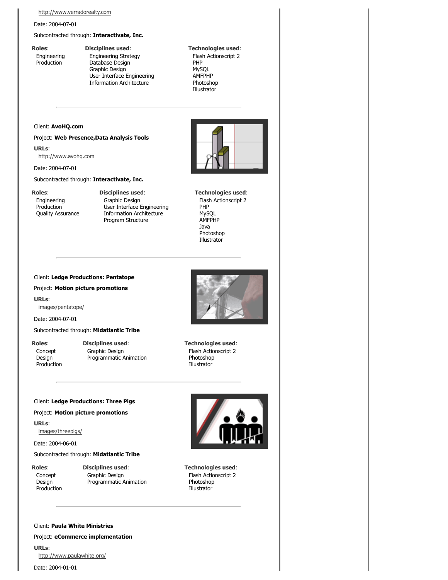#### Date: 2004-07-01

Subcontracted through: **Interactivate, Inc.**

**Roles**: Engineering Production

#### **Disciplines used**: Engineering Strategy Database Design Graphic Design User Interface Engineering Information Architecture

**Technologies used**: Flash Actionscript 2 PHP MySQL AMFPHP Photoshop Illustrator

#### Client: **AvoHQ.com**

#### Project: **Web Presence,Data Analysis Tools**

**URLs**:

http://www.avohq.com

Date: 2004-07-01

#### Subcontracted through: **Interactivate, Inc.**

**Roles**: Engineering

**Production** Quality Assurance **Disciplines used**: Graphic Design User Interface Engineering Information Architecture Program Structure

**Technologies used**: Flash Actionscript 2 PHP MySQL AMFPHP Java Photoshop Illustrator

#### Client: **Ledge Productions: Pentatope**

#### Project: **Motion picture promotions**

**URLs**:

images/pentatope/

Date: 2004-07-01

Subcontracted through: **Midatlantic Tribe**

**Roles**: Concept **Design** Production **Disciplines used**: Graphic Design Programmatic Animation



Flash Actionscript 2 Photoshop Illustrator

#### Client: **Ledge Productions: Three Pigs**

Project: **Motion picture promotions**

**URLs**:

images/threepigs/

Date: 2004-06-01

#### Subcontracted through: **Midatlantic Tribe**

**Roles**: Concept Design Production **Disciplines used**: Graphic Design Programmatic Animation



**Technologies used**: Flash Actionscript 2 Photoshop Illustrator

Client: **Paula White Ministries**

Project: **eCommerce implementation**

**URLs**: http://www.paulawhite.org/

Date: 2004-01-01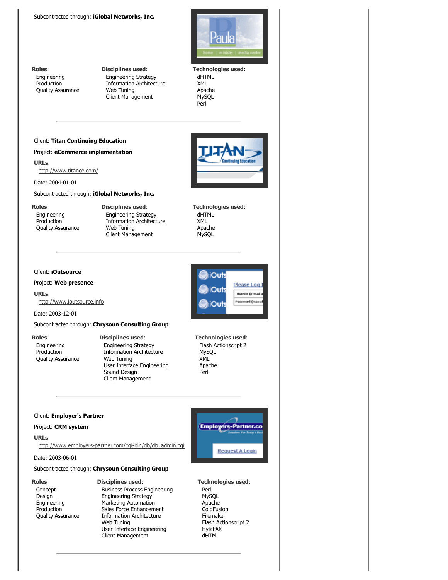

**Roles**:

Engineering **Production** Quality Assurance **Disciplines used**: Engineering Strategy Information Architecture Web Tuning Client Management

**Technologies used**: dHTML XML Apache **MySQL** Perl

#### Client: **Titan Continuing Education**

Project: **eCommerce implementation**

**URLs**: http://www.titance.com/

Date: 2004-01-01

#### Subcontracted through: **iGlobal Networks, Inc.**

#### **Roles**:

Engineering Production Quality Assurance **Disciplines used**: Engineering Strategy Information Architecture Web Tuning Client Management

**Technologies used**: dHTML XML Apache MySQL

iOuts

Out:

iOuts

Please Log

**UserID** (e-mail ord (max

**Technologies used**: Flash Actionscript 2

MySQL XML Apache Perl

#### Client: **iOutsource**

Project: **Web presence**

**URLs**: http://www.ioutsource.info

Date: 2003-12-01

#### Subcontracted through: **Chrysoun Consulting Group**

**Roles**:

Engineering **Production** Quality Assurance

### **Disciplines used**:

Engineering Strategy Information Architecture Web Tuning User Interface Engineering Sound Design Client Management

#### Client: **Employer's Partner**

#### Project: **CRM system**

**URLs**:

**Roles**:

http://www.employers-partner.com/cgi-bin/db/db\_admin.cgi

#### Subcontracted through: **Chrysoun Consulting Group**

Date: 2003-06-01

#### **Disciplines used**:

Concept Design Engineering Production Quality Assurance Business Process Engineering Engineering Strategy Marketing Automation Sales Force Enhancement Information Architecture Web Tuning User Interface Engineering Client Management



#### **Technologies used**:

Perl MySQL Apache **ColdFusion** Filemaker Flash Actionscript 2 HylaFAX dHTML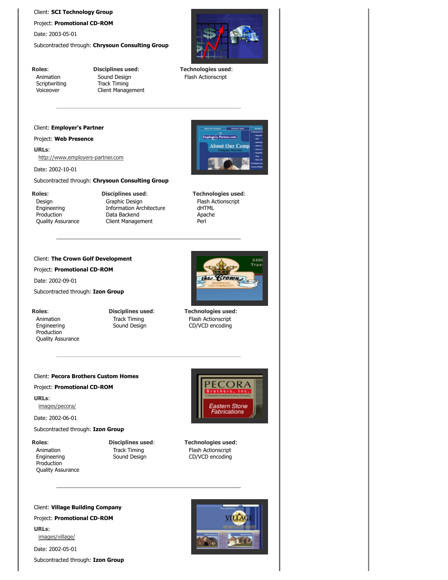#### Client: **SCI Technology Group**

Project: Promotional CD-ROM

Date: 2003-05-01

Subcontracted through: **Chrysoun Consulting Group**



**Technologies used**: Flash Actionscript

**Roles**: Animation **Scriptwriting** Voiceover

**Disciplines used**: Sound Design Track Timing Client Management

#### Client: **Employer's Partner**

#### Project: **Web Presence**

**URLs**: http://www.employers-partner.com

Date: 2002-10-01

#### Subcontracted through: **Chrysoun Consulting Group**

**Roles**:

Design Engineering Production Quality Assurance **Disciplines used**: Graphic Design Information Architecture Data Backend Client Management

#### Client: **The Crown Golf Development**

#### Project: Promotional CD-ROM

Date: 2002-09-01

Subcontracted through: **Izon Group**

#### **Roles**:

Animation Engineering Production Quality Assurance **Disciplines used**: Track Timing Sound Design



**Technologies used**: Flash Actionscript dHTML Apache Perl

**About Our Comp** 

**Technologies used**: Flash Actionscript CD/VCD encoding

#### Client: **Pecora Brothers Custom Homes**

Project: Promotional CD-ROM

#### **URLs**:

images/pecora/

Date: 2002-06-01

#### Subcontracted through: **Izon Group**

**Roles**:

Animation Engineering Production Quality Assurance **Disciplines used**: Track Timing Sound Design



**Technologies used**: Flash Actionscript CD/VCD encoding

Client: **Village Building Company**

Project: Promotional CD-ROM

**URLs**:

images/village/

Date: 2002-05-01

Subcontracted through: **Izon Group**

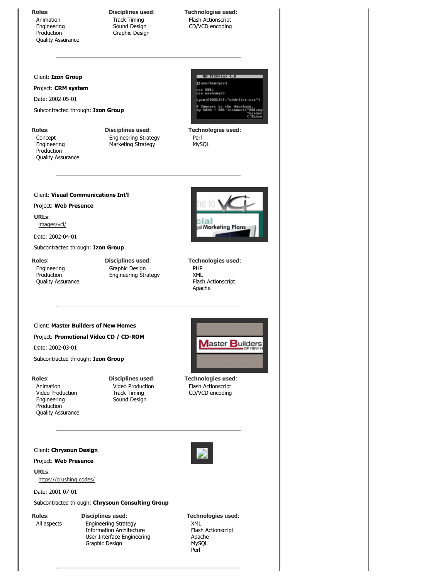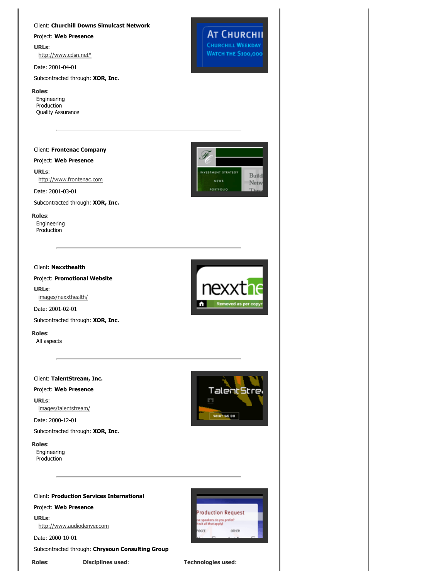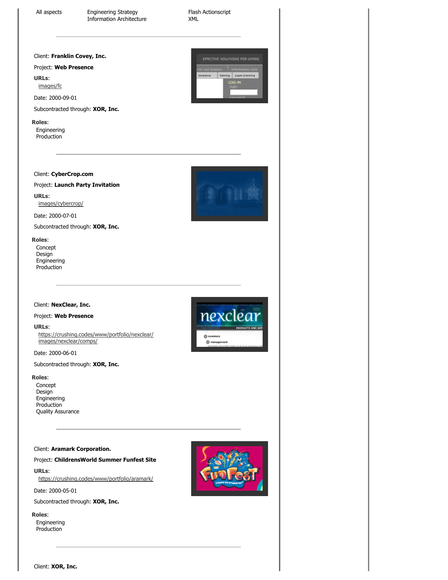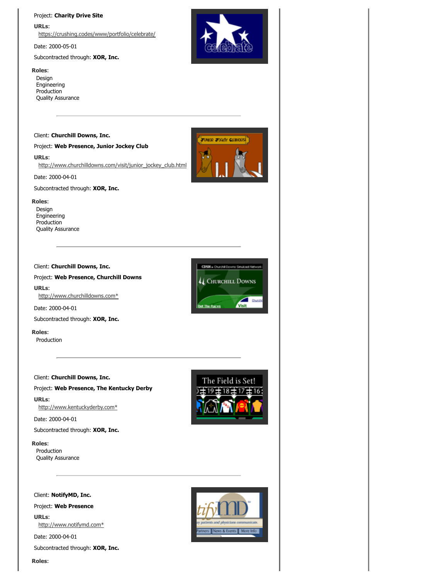#### Project: **Charity Drive Site**

**URLs**: https://crushing.codes/www/portfolio/celebrate/

Date: 2000-05-01

#### Subcontracted through: **XOR, Inc.**

#### **Roles**:

Design Engineering Production Quality Assurance



**JUNIOR JOOKEY GUINOUSE** 

#### Client: **Churchill Downs, Inc.**

Project: **Web Presence, Junior Jockey Club**

**URLs**:

http://www.churchilldowns.com/visit/junior\_jockey\_club.html

Date: 2000-04-01

Subcontracted through: **XOR, Inc.**

#### **Roles**:

Design Engineering Production Quality Assurance

#### Client: **Churchill Downs, Inc.**

#### Project: **Web Presence, Churchill Downs**

**URLs**: http://www.churchilldowns.com\*

Date: 2000-04-01

Subcontracted through: **XOR, Inc.**

**Roles**:

Production

#### Client: **Churchill Downs, Inc.**

Project: **Web Presence, The Kentucky Derby**

**URLs**: http://www.kentuckyderby.com\*

Date: 2000-04-01

Subcontracted through: **XOR, Inc.**

#### **Roles**:

Production Quality Assurance



Project: **Web Presence**

**URLs**:

http://www.notifymd.com\*

Date: 2000-04-01

**Roles**:

Subcontracted through: **XOR, Inc.**

4 CHURCHILL DOWNS Chung ∠ **Bet The Races** 

CDSN . Churchill Downs Sinukast Net



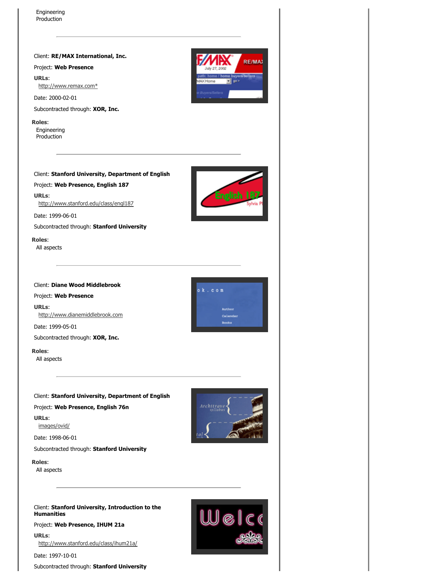Client: **RE/MAX International, Inc.**

Project: **Web Presence**

**URLs**: http://www.remax.com\*

Date: 2000-02-01

Subcontracted through: **XOR, Inc.**

**Roles**: Engineering **Production** 

#### Client: **Stanford University, Department of English**

Project: **Web Presence, English 187**

**URLs**:

http://www.stanford.edu/class/engl187

Date: 1999-06-01

Subcontracted through: **Stanford University**

**Roles**:

All aspects

Client: **Diane Wood Middlebrook**

Project: **Web Presence**

**URLs**: http://www.dianemiddlebrook.com

Date: 1999-05-01

Subcontracted through: **XOR, Inc.**

**Roles**:

All aspects

Client: **Stanford University, Department of English**

Project: **Web Presence, English 76n**

**URLs**:

images/ovid/

Date: 1998-06-01

Subcontracted through: **Stanford University**

**Roles**:

All aspects

Client: **Stanford University, Introduction to the Humanities**

Project: **Web Presence, IHUM 21a**

**URLs**: http://www.stanford.edu/class/ihum21a/

Date: 1997-10-01

Subcontracted through: **Stanford University**